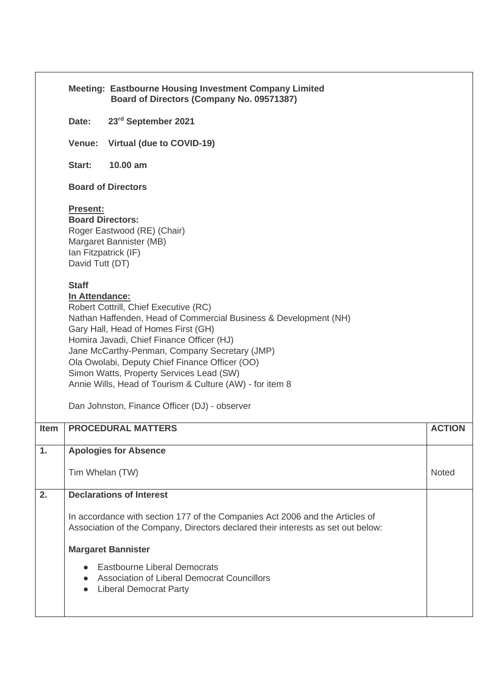|              | Board of Directors (Company No. 09571387) |                                                                                                                                                                                                                                                                                                                                                                                                                                                                                                                                                                                                                                                                                                                                                                                                                                                                                                                                                                                                                                                                                                                                                                         |
|--------------|-------------------------------------------|-------------------------------------------------------------------------------------------------------------------------------------------------------------------------------------------------------------------------------------------------------------------------------------------------------------------------------------------------------------------------------------------------------------------------------------------------------------------------------------------------------------------------------------------------------------------------------------------------------------------------------------------------------------------------------------------------------------------------------------------------------------------------------------------------------------------------------------------------------------------------------------------------------------------------------------------------------------------------------------------------------------------------------------------------------------------------------------------------------------------------------------------------------------------------|
| Date:        | 23rd September 2021                       |                                                                                                                                                                                                                                                                                                                                                                                                                                                                                                                                                                                                                                                                                                                                                                                                                                                                                                                                                                                                                                                                                                                                                                         |
| Venue:       | Virtual (due to COVID-19)                 |                                                                                                                                                                                                                                                                                                                                                                                                                                                                                                                                                                                                                                                                                                                                                                                                                                                                                                                                                                                                                                                                                                                                                                         |
| Start:       | 10.00 am                                  |                                                                                                                                                                                                                                                                                                                                                                                                                                                                                                                                                                                                                                                                                                                                                                                                                                                                                                                                                                                                                                                                                                                                                                         |
|              |                                           |                                                                                                                                                                                                                                                                                                                                                                                                                                                                                                                                                                                                                                                                                                                                                                                                                                                                                                                                                                                                                                                                                                                                                                         |
|              |                                           |                                                                                                                                                                                                                                                                                                                                                                                                                                                                                                                                                                                                                                                                                                                                                                                                                                                                                                                                                                                                                                                                                                                                                                         |
| <b>Staff</b> |                                           |                                                                                                                                                                                                                                                                                                                                                                                                                                                                                                                                                                                                                                                                                                                                                                                                                                                                                                                                                                                                                                                                                                                                                                         |
|              |                                           |                                                                                                                                                                                                                                                                                                                                                                                                                                                                                                                                                                                                                                                                                                                                                                                                                                                                                                                                                                                                                                                                                                                                                                         |
|              |                                           | <b>ACTION</b>                                                                                                                                                                                                                                                                                                                                                                                                                                                                                                                                                                                                                                                                                                                                                                                                                                                                                                                                                                                                                                                                                                                                                           |
|              |                                           |                                                                                                                                                                                                                                                                                                                                                                                                                                                                                                                                                                                                                                                                                                                                                                                                                                                                                                                                                                                                                                                                                                                                                                         |
|              |                                           | <b>Noted</b>                                                                                                                                                                                                                                                                                                                                                                                                                                                                                                                                                                                                                                                                                                                                                                                                                                                                                                                                                                                                                                                                                                                                                            |
|              |                                           |                                                                                                                                                                                                                                                                                                                                                                                                                                                                                                                                                                                                                                                                                                                                                                                                                                                                                                                                                                                                                                                                                                                                                                         |
|              |                                           |                                                                                                                                                                                                                                                                                                                                                                                                                                                                                                                                                                                                                                                                                                                                                                                                                                                                                                                                                                                                                                                                                                                                                                         |
|              |                                           |                                                                                                                                                                                                                                                                                                                                                                                                                                                                                                                                                                                                                                                                                                                                                                                                                                                                                                                                                                                                                                                                                                                                                                         |
|              |                                           |                                                                                                                                                                                                                                                                                                                                                                                                                                                                                                                                                                                                                                                                                                                                                                                                                                                                                                                                                                                                                                                                                                                                                                         |
|              |                                           | <b>Meeting: Eastbourne Housing Investment Company Limited</b><br><b>Board of Directors</b><br><b>Present:</b><br><b>Board Directors:</b><br>Roger Eastwood (RE) (Chair)<br>Margaret Bannister (MB)<br>Ian Fitzpatrick (IF)<br>David Tutt (DT)<br>In Attendance:<br>Robert Cottrill, Chief Executive (RC)<br>Nathan Haffenden, Head of Commercial Business & Development (NH)<br>Gary Hall, Head of Homes First (GH)<br>Homira Javadi, Chief Finance Officer (HJ)<br>Jane McCarthy-Penman, Company Secretary (JMP)<br>Ola Owolabi, Deputy Chief Finance Officer (OO)<br>Simon Watts, Property Services Lead (SW)<br>Annie Wills, Head of Tourism & Culture (AW) - for item 8<br>Dan Johnston, Finance Officer (DJ) - observer<br><b>PROCEDURAL MATTERS</b><br><b>Apologies for Absence</b><br>Tim Whelan (TW)<br><b>Declarations of Interest</b><br>In accordance with section 177 of the Companies Act 2006 and the Articles of<br>Association of the Company, Directors declared their interests as set out below:<br><b>Margaret Bannister</b><br><b>Eastbourne Liberal Democrats</b><br>Association of Liberal Democrat Councillors<br><b>Liberal Democrat Party</b> |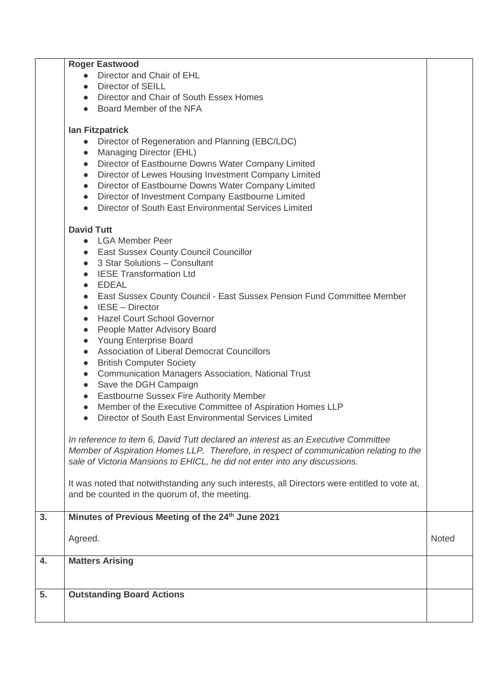|    | <b>Roger Eastwood</b>                                                                         |              |
|----|-----------------------------------------------------------------------------------------------|--------------|
|    | Director and Chair of EHL<br>$\bullet$                                                        |              |
|    | Director of SEILL<br>$\bullet$                                                                |              |
|    | Director and Chair of South Essex Homes<br>$\bullet$                                          |              |
|    | Board Member of the NFA<br>$\bullet$                                                          |              |
|    |                                                                                               |              |
|    | <b>Ian Fitzpatrick</b>                                                                        |              |
|    | Director of Regeneration and Planning (EBC/LDC)<br>$\bullet$                                  |              |
|    | Managing Director (EHL)<br>$\bullet$                                                          |              |
|    | Director of Eastbourne Downs Water Company Limited<br>$\bullet$                               |              |
|    | Director of Lewes Housing Investment Company Limited<br>$\bullet$                             |              |
|    | Director of Eastbourne Downs Water Company Limited<br>$\bullet$                               |              |
|    | Director of Investment Company Eastbourne Limited<br>$\bullet$                                |              |
|    | Director of South East Environmental Services Limited<br>$\bullet$                            |              |
|    | <b>David Tutt</b>                                                                             |              |
|    | <b>LGA Member Peer</b><br>$\bullet$                                                           |              |
|    | <b>East Sussex County Council Councillor</b><br>$\bullet$                                     |              |
|    | 3 Star Solutions - Consultant<br>$\bullet$                                                    |              |
|    | <b>IESE Transformation Ltd</b><br>$\bullet$                                                   |              |
|    | EDEAL<br>$\bullet$                                                                            |              |
|    | East Sussex County Council - East Sussex Pension Fund Committee Member<br>$\bullet$           |              |
|    | <b>IESE - Director</b><br>$\bullet$                                                           |              |
|    | <b>Hazel Court School Governor</b><br>$\bullet$                                               |              |
|    | People Matter Advisory Board<br>$\bullet$                                                     |              |
|    | <b>Young Enterprise Board</b><br>$\bullet$                                                    |              |
|    | Association of Liberal Democrat Councillors<br>$\bullet$                                      |              |
|    | <b>British Computer Society</b><br>$\bullet$                                                  |              |
|    | <b>Communication Managers Association, National Trust</b><br>$\bullet$                        |              |
|    | Save the DGH Campaign<br>$\bullet$                                                            |              |
|    | Eastbourne Sussex Fire Authority Member<br>$\bullet$                                          |              |
|    | Member of the Executive Committee of Aspiration Homes LLP                                     |              |
|    | Director of South East Environmental Services Limited                                         |              |
|    | In reference to item 6, David Tutt declared an interest as an Executive Committee             |              |
|    | Member of Aspiration Homes LLP. Therefore, in respect of communication relating to the        |              |
|    | sale of Victoria Mansions to EHICL, he did not enter into any discussions.                    |              |
|    |                                                                                               |              |
|    | It was noted that notwithstanding any such interests, all Directors were entitled to vote at, |              |
|    | and be counted in the quorum of, the meeting.                                                 |              |
|    |                                                                                               |              |
| 3. | Minutes of Previous Meeting of the 24 <sup>th</sup> June 2021                                 |              |
|    | Agreed.                                                                                       | <b>Noted</b> |
|    |                                                                                               |              |
| 4. | <b>Matters Arising</b>                                                                        |              |
|    |                                                                                               |              |
| 5. | <b>Outstanding Board Actions</b>                                                              |              |
|    |                                                                                               |              |
|    |                                                                                               |              |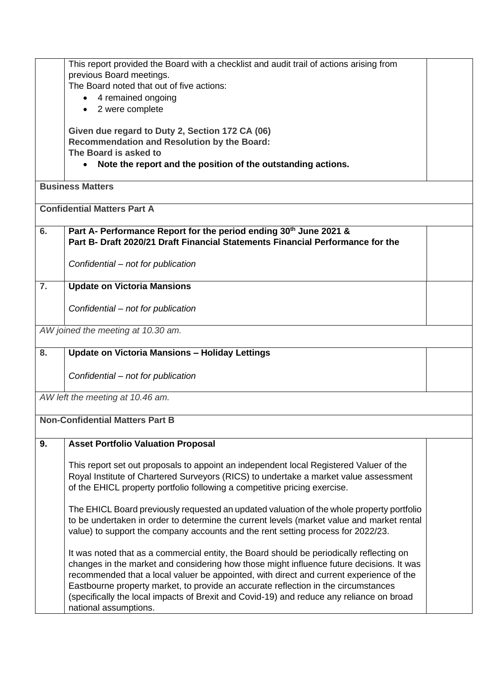|    | This report provided the Board with a checklist and audit trail of actions arising from                                                                                        |  |
|----|--------------------------------------------------------------------------------------------------------------------------------------------------------------------------------|--|
|    | previous Board meetings.                                                                                                                                                       |  |
|    | The Board noted that out of five actions:                                                                                                                                      |  |
|    | 4 remained ongoing<br>$\bullet$                                                                                                                                                |  |
|    | • 2 were complete                                                                                                                                                              |  |
|    | Given due regard to Duty 2, Section 172 CA (06)                                                                                                                                |  |
|    | <b>Recommendation and Resolution by the Board:</b>                                                                                                                             |  |
|    | The Board is asked to                                                                                                                                                          |  |
|    | Note the report and the position of the outstanding actions.<br>$\bullet$                                                                                                      |  |
|    | <b>Business Matters</b>                                                                                                                                                        |  |
|    | <b>Confidential Matters Part A</b>                                                                                                                                             |  |
|    |                                                                                                                                                                                |  |
| 6. | Part A- Performance Report for the period ending 30th June 2021 &                                                                                                              |  |
|    | Part B- Draft 2020/21 Draft Financial Statements Financial Performance for the                                                                                                 |  |
|    | Confidential – not for publication                                                                                                                                             |  |
|    |                                                                                                                                                                                |  |
| 7. | <b>Update on Victoria Mansions</b>                                                                                                                                             |  |
|    | Confidential – not for publication                                                                                                                                             |  |
|    |                                                                                                                                                                                |  |
|    | AW joined the meeting at 10.30 am.                                                                                                                                             |  |
|    |                                                                                                                                                                                |  |
| 8. | <b>Update on Victoria Mansions - Holiday Lettings</b>                                                                                                                          |  |
|    | Confidential - not for publication                                                                                                                                             |  |
|    |                                                                                                                                                                                |  |
|    | AW left the meeting at 10.46 am.                                                                                                                                               |  |
|    |                                                                                                                                                                                |  |
|    | <b>Non-Confidential Matters Part B</b>                                                                                                                                         |  |
| 9. | <b>Asset Portfolio Valuation Proposal</b>                                                                                                                                      |  |
|    |                                                                                                                                                                                |  |
|    | This report set out proposals to appoint an independent local Registered Valuer of the<br>Royal Institute of Chartered Surveyors (RICS) to undertake a market value assessment |  |
|    | of the EHICL property portfolio following a competitive pricing exercise.                                                                                                      |  |
|    |                                                                                                                                                                                |  |
|    | The EHICL Board previously requested an updated valuation of the whole property portfolio                                                                                      |  |
|    | to be undertaken in order to determine the current levels (market value and market rental                                                                                      |  |
|    | value) to support the company accounts and the rent setting process for 2022/23.                                                                                               |  |
|    | It was noted that as a commercial entity, the Board should be periodically reflecting on                                                                                       |  |
|    | changes in the market and considering how those might influence future decisions. It was                                                                                       |  |
|    | recommended that a local valuer be appointed, with direct and current experience of the                                                                                        |  |
|    | Eastbourne property market, to provide an accurate reflection in the circumstances                                                                                             |  |
|    | (specifically the local impacts of Brexit and Covid-19) and reduce any reliance on broad                                                                                       |  |
|    | national assumptions.                                                                                                                                                          |  |
|    |                                                                                                                                                                                |  |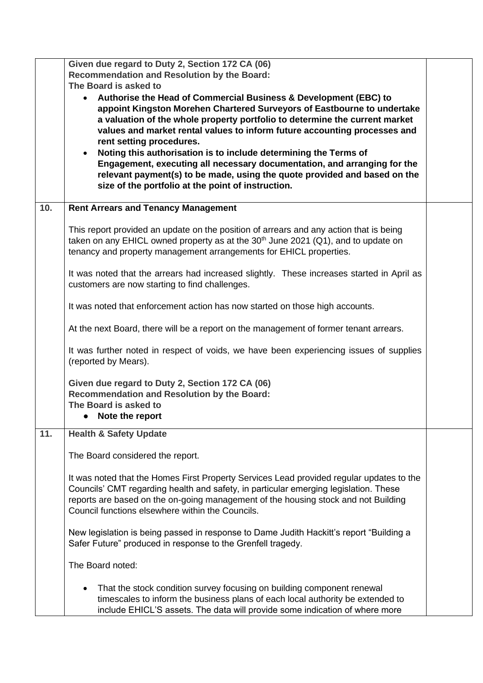|     | Given due regard to Duty 2, Section 172 CA (06)<br><b>Recommendation and Resolution by the Board:</b><br>The Board is asked to<br>Authorise the Head of Commercial Business & Development (EBC) to<br>$\bullet$<br>appoint Kingston Morehen Chartered Surveyors of Eastbourne to undertake<br>a valuation of the whole property portfolio to determine the current market<br>values and market rental values to inform future accounting processes and<br>rent setting procedures. |  |
|-----|------------------------------------------------------------------------------------------------------------------------------------------------------------------------------------------------------------------------------------------------------------------------------------------------------------------------------------------------------------------------------------------------------------------------------------------------------------------------------------|--|
|     | Noting this authorisation is to include determining the Terms of<br>$\bullet$<br>Engagement, executing all necessary documentation, and arranging for the<br>relevant payment(s) to be made, using the quote provided and based on the<br>size of the portfolio at the point of instruction.                                                                                                                                                                                       |  |
| 10. | <b>Rent Arrears and Tenancy Management</b>                                                                                                                                                                                                                                                                                                                                                                                                                                         |  |
|     | This report provided an update on the position of arrears and any action that is being<br>taken on any EHICL owned property as at the 30 <sup>th</sup> June 2021 (Q1), and to update on<br>tenancy and property management arrangements for EHICL properties.                                                                                                                                                                                                                      |  |
|     | It was noted that the arrears had increased slightly. These increases started in April as<br>customers are now starting to find challenges.                                                                                                                                                                                                                                                                                                                                        |  |
|     | It was noted that enforcement action has now started on those high accounts.                                                                                                                                                                                                                                                                                                                                                                                                       |  |
|     | At the next Board, there will be a report on the management of former tenant arrears.                                                                                                                                                                                                                                                                                                                                                                                              |  |
|     | It was further noted in respect of voids, we have been experiencing issues of supplies<br>(reported by Mears).                                                                                                                                                                                                                                                                                                                                                                     |  |
|     | Given due regard to Duty 2, Section 172 CA (06)<br><b>Recommendation and Resolution by the Board:</b><br>The Board is asked to<br>Note the report<br>$\bullet$                                                                                                                                                                                                                                                                                                                     |  |
| 11. | <b>Health &amp; Safety Update</b>                                                                                                                                                                                                                                                                                                                                                                                                                                                  |  |
|     | The Board considered the report.                                                                                                                                                                                                                                                                                                                                                                                                                                                   |  |
|     | It was noted that the Homes First Property Services Lead provided regular updates to the<br>Councils' CMT regarding health and safety, in particular emerging legislation. These<br>reports are based on the on-going management of the housing stock and not Building<br>Council functions elsewhere within the Councils.                                                                                                                                                         |  |
|     | New legislation is being passed in response to Dame Judith Hackitt's report "Building a<br>Safer Future" produced in response to the Grenfell tragedy.                                                                                                                                                                                                                                                                                                                             |  |
|     | The Board noted:                                                                                                                                                                                                                                                                                                                                                                                                                                                                   |  |
|     | That the stock condition survey focusing on building component renewal<br>timescales to inform the business plans of each local authority be extended to<br>include EHICL'S assets. The data will provide some indication of where more                                                                                                                                                                                                                                            |  |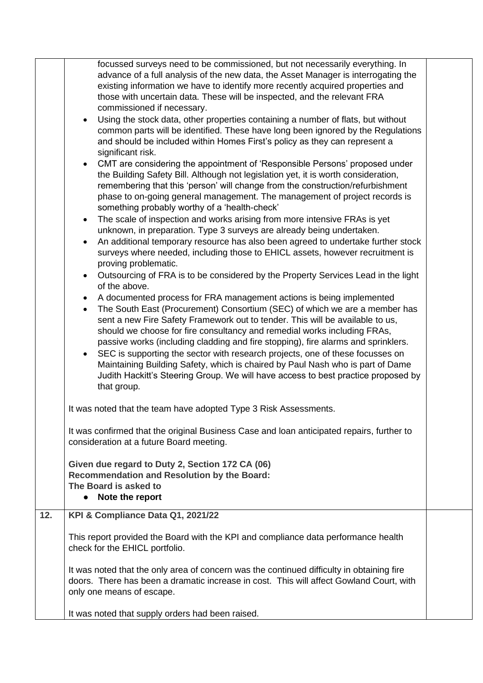|     | focussed surveys need to be commissioned, but not necessarily everything. In<br>advance of a full analysis of the new data, the Asset Manager is interrogating the<br>existing information we have to identify more recently acquired properties and<br>those with uncertain data. These will be inspected, and the relevant FRA<br>commissioned if necessary.<br>Using the stock data, other properties containing a number of flats, but without<br>common parts will be identified. These have long been ignored by the Regulations<br>and should be included within Homes First's policy as they can represent a<br>significant risk.<br>CMT are considering the appointment of 'Responsible Persons' proposed under<br>the Building Safety Bill. Although not legislation yet, it is worth consideration,<br>remembering that this 'person' will change from the construction/refurbishment<br>phase to on-going general management. The management of project records is<br>something probably worthy of a 'health-check'<br>The scale of inspection and works arising from more intensive FRAs is yet<br>unknown, in preparation. Type 3 surveys are already being undertaken.<br>An additional temporary resource has also been agreed to undertake further stock<br>surveys where needed, including those to EHICL assets, however recruitment is<br>proving problematic.<br>Outsourcing of FRA is to be considered by the Property Services Lead in the light<br>of the above.<br>A documented process for FRA management actions is being implemented<br>The South East (Procurement) Consortium (SEC) of which we are a member has<br>$\bullet$<br>sent a new Fire Safety Framework out to tender. This will be available to us,<br>should we choose for fire consultancy and remedial works including FRAs,<br>passive works (including cladding and fire stopping), fire alarms and sprinklers.<br>SEC is supporting the sector with research projects, one of these focusses on<br>Maintaining Building Safety, which is chaired by Paul Nash who is part of Dame<br>Judith Hackitt's Steering Group. We will have access to best practice proposed by<br>that group. |  |
|-----|--------------------------------------------------------------------------------------------------------------------------------------------------------------------------------------------------------------------------------------------------------------------------------------------------------------------------------------------------------------------------------------------------------------------------------------------------------------------------------------------------------------------------------------------------------------------------------------------------------------------------------------------------------------------------------------------------------------------------------------------------------------------------------------------------------------------------------------------------------------------------------------------------------------------------------------------------------------------------------------------------------------------------------------------------------------------------------------------------------------------------------------------------------------------------------------------------------------------------------------------------------------------------------------------------------------------------------------------------------------------------------------------------------------------------------------------------------------------------------------------------------------------------------------------------------------------------------------------------------------------------------------------------------------------------------------------------------------------------------------------------------------------------------------------------------------------------------------------------------------------------------------------------------------------------------------------------------------------------------------------------------------------------------------------------------------------------------------------------------------------------------------------------------------------------------------|--|
|     | It was noted that the team have adopted Type 3 Risk Assessments.                                                                                                                                                                                                                                                                                                                                                                                                                                                                                                                                                                                                                                                                                                                                                                                                                                                                                                                                                                                                                                                                                                                                                                                                                                                                                                                                                                                                                                                                                                                                                                                                                                                                                                                                                                                                                                                                                                                                                                                                                                                                                                                     |  |
|     | It was confirmed that the original Business Case and loan anticipated repairs, further to<br>consideration at a future Board meeting.                                                                                                                                                                                                                                                                                                                                                                                                                                                                                                                                                                                                                                                                                                                                                                                                                                                                                                                                                                                                                                                                                                                                                                                                                                                                                                                                                                                                                                                                                                                                                                                                                                                                                                                                                                                                                                                                                                                                                                                                                                                |  |
|     | Given due regard to Duty 2, Section 172 CA (06)<br><b>Recommendation and Resolution by the Board:</b><br>The Board is asked to<br>• Note the report                                                                                                                                                                                                                                                                                                                                                                                                                                                                                                                                                                                                                                                                                                                                                                                                                                                                                                                                                                                                                                                                                                                                                                                                                                                                                                                                                                                                                                                                                                                                                                                                                                                                                                                                                                                                                                                                                                                                                                                                                                  |  |
| 12. | KPI & Compliance Data Q1, 2021/22                                                                                                                                                                                                                                                                                                                                                                                                                                                                                                                                                                                                                                                                                                                                                                                                                                                                                                                                                                                                                                                                                                                                                                                                                                                                                                                                                                                                                                                                                                                                                                                                                                                                                                                                                                                                                                                                                                                                                                                                                                                                                                                                                    |  |
|     | This report provided the Board with the KPI and compliance data performance health<br>check for the EHICL portfolio.                                                                                                                                                                                                                                                                                                                                                                                                                                                                                                                                                                                                                                                                                                                                                                                                                                                                                                                                                                                                                                                                                                                                                                                                                                                                                                                                                                                                                                                                                                                                                                                                                                                                                                                                                                                                                                                                                                                                                                                                                                                                 |  |
|     | It was noted that the only area of concern was the continued difficulty in obtaining fire<br>doors. There has been a dramatic increase in cost. This will affect Gowland Court, with<br>only one means of escape.                                                                                                                                                                                                                                                                                                                                                                                                                                                                                                                                                                                                                                                                                                                                                                                                                                                                                                                                                                                                                                                                                                                                                                                                                                                                                                                                                                                                                                                                                                                                                                                                                                                                                                                                                                                                                                                                                                                                                                    |  |
|     | It was noted that supply orders had been raised.                                                                                                                                                                                                                                                                                                                                                                                                                                                                                                                                                                                                                                                                                                                                                                                                                                                                                                                                                                                                                                                                                                                                                                                                                                                                                                                                                                                                                                                                                                                                                                                                                                                                                                                                                                                                                                                                                                                                                                                                                                                                                                                                     |  |